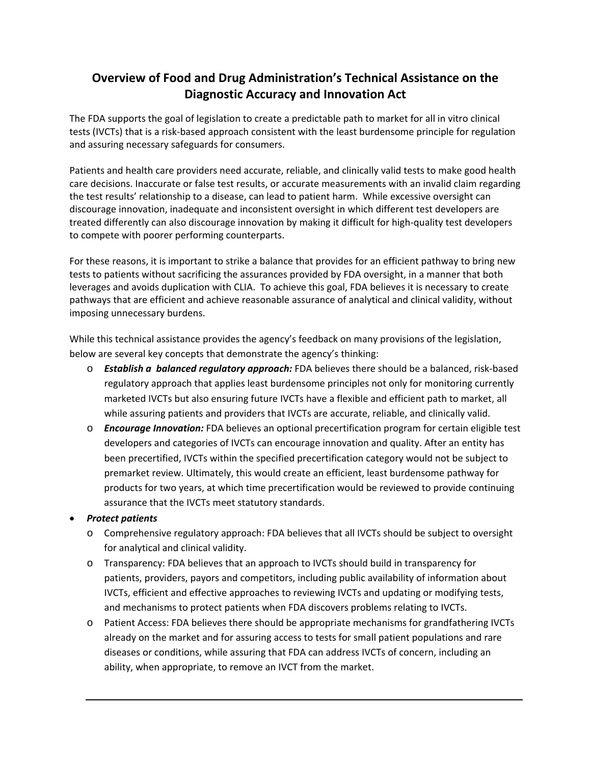## **Overview of Food and Drug Administration's Technical Assistance on the Diagnostic Accuracy and Innovation Act**

The FDA supports the goal of legislation to create a predictable path to market for all in vitro clinical tests (IVCTs) that is a risk‐based approach consistent with the least burdensome principle for regulation and assuring necessary safeguards for consumers.

Patients and health care providers need accurate, reliable, and clinically valid tests to make good health care decisions. Inaccurate or false test results, or accurate measurements with an invalid claim regarding the test results' relationship to a disease, can lead to patient harm. While excessive oversight can discourage innovation, inadequate and inconsistent oversight in which different test developers are treated differently can also discourage innovation by making it difficult for high‐quality test developers to compete with poorer performing counterparts.

For these reasons, it is important to strike a balance that provides for an efficient pathway to bring new tests to patients without sacrificing the assurances provided by FDA oversight, in a manner that both leverages and avoids duplication with CLIA. To achieve this goal, FDA believes it is necessary to create pathways that are efficient and achieve reasonable assurance of analytical and clinical validity, without imposing unnecessary burdens.

While this technical assistance provides the agency's feedback on many provisions of the legislation, below are several key concepts that demonstrate the agency's thinking:

- o *Establish a balanced regulatory approach:* FDA believes there should be a balanced, risk‐based regulatory approach that applies least burdensome principles not only for monitoring currently marketed IVCTs but also ensuring future IVCTs have a flexible and efficient path to market, all while assuring patients and providers that IVCTs are accurate, reliable, and clinically valid.
- o *Encourage Innovation:* FDA believes an optional precertification program for certain eligible test developers and categories of IVCTs can encourage innovation and quality. After an entity has been precertified, IVCTs within the specified precertification category would not be subject to premarket review. Ultimately, this would create an efficient, least burdensome pathway for products for two years, at which time precertification would be reviewed to provide continuing assurance that the IVCTs meet statutory standards.

## *Protect patients*

- o Comprehensive regulatory approach: FDA believes that all IVCTs should be subject to oversight for analytical and clinical validity.
- o Transparency: FDA believes that an approach to IVCTs should build in transparency for patients, providers, payors and competitors, including public availability of information about IVCTs, efficient and effective approaches to reviewing IVCTs and updating or modifying tests, and mechanisms to protect patients when FDA discovers problems relating to IVCTs.
- o Patient Access: FDA believes there should be appropriate mechanisms for grandfathering IVCTs already on the market and for assuring access to tests for small patient populations and rare diseases or conditions, while assuring that FDA can address IVCTs of concern, including an ability, when appropriate, to remove an IVCT from the market.